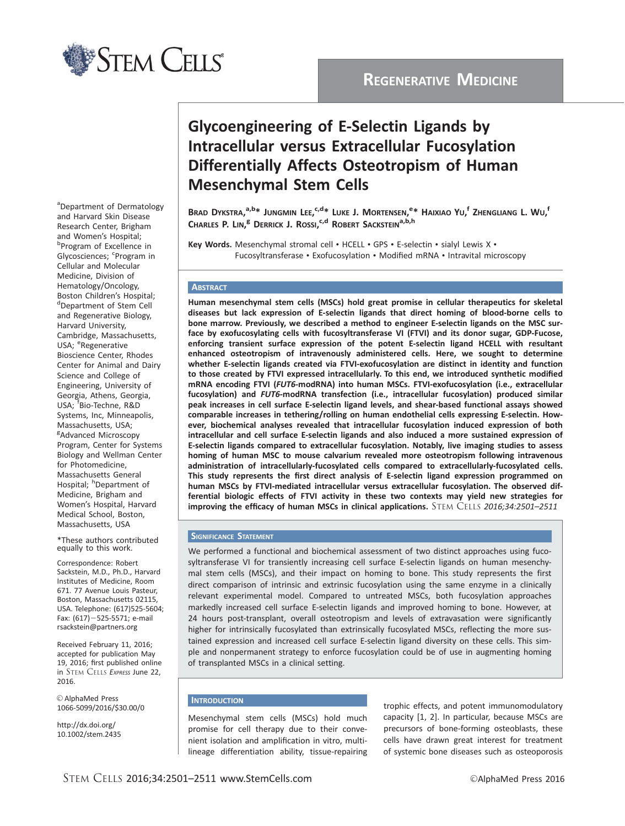

## REGENERATIVE MEDICINE

# Glycoengineering of E-Selectin Ligands by Intracellular versus Extracellular Fucosylation Differentially Affects Osteotropism of Human Mesenchymal Stem Cells

Brad Dykstra, $^{a,b\ast}$  Jungmin Lee, $^{c,d\ast}$  Luke J. Mortensen, $^{e\ast}$  Haixiao Yu, $^{\mathsf{f}}$  Zhengliang L. Wu, $^{\mathsf{f}}$ Charles P. Lin,<sup>e</sup> Derrick J. Rossi,<sup>c,d</sup> Robert Sackstein<sup>a,b,h</sup>

Key Words. Mesenchymal stromal cell • HCELL • GPS • E-selectin • sialyl Lewis X • Fucosyltransferase • Exofucosylation • Modified mRNA • Intravital microscopy

#### **ABSTRACT**

Human mesenchymal stem cells (MSCs) hold great promise in cellular therapeutics for skeletal diseases but lack expression of E-selectin ligands that direct homing of blood-borne cells to bone marrow. Previously, we described a method to engineer E-selectin ligands on the MSC surface by exofucosylating cells with fucosyltransferase VI (FTVI) and its donor sugar, GDP-Fucose, enforcing transient surface expression of the potent E-selectin ligand HCELL with resultant enhanced osteotropism of intravenously administered cells. Here, we sought to determine whether E-selectin ligands created via FTVI-exofucosylation are distinct in identity and function to those created by FTVI expressed intracellularly. To this end, we introduced synthetic modified mRNA encoding FTVI (FUT6-modRNA) into human MSCs. FTVI-exofucosylation (i.e., extracellular fucosylation) and FUT6-modRNA transfection (i.e., intracellular fucosylation) produced similar peak increases in cell surface E-selectin ligand levels, and shear-based functional assays showed comparable increases in tethering/rolling on human endothelial cells expressing E-selectin. However, biochemical analyses revealed that intracellular fucosylation induced expression of both intracellular and cell surface E-selectin ligands and also induced a more sustained expression of E-selectin ligands compared to extracellular fucosylation. Notably, live imaging studies to assess homing of human MSC to mouse calvarium revealed more osteotropism following intravenous administration of intracellularly-fucosylated cells compared to extracellularly-fucosylated cells. This study represents the first direct analysis of E-selectin ligand expression programmed on human MSCs by FTVI-mediated intracellular versus extracellular fucosylation. The observed differential biologic effects of FTVI activity in these two contexts may yield new strategies for improving the efficacy of human MSCs in clinical applications. STEM CELLS 2016;34:2501-2511

#### **SIGNIFICANCE STATEMENT**

We performed a functional and biochemical assessment of two distinct approaches using fucosyltransferase VI for transiently increasing cell surface E-selectin ligands on human mesenchymal stem cells (MSCs), and their impact on homing to bone. This study represents the first direct comparison of intrinsic and extrinsic fucosylation using the same enzyme in a clinically relevant experimental model. Compared to untreated MSCs, both fucosylation approaches markedly increased cell surface E-selectin ligands and improved homing to bone. However, at 24 hours post-transplant, overall osteotropism and levels of extravasation were significantly higher for intrinsically fucosylated than extrinsically fucosylated MSCs, reflecting the more sustained expression and increased cell surface E-selectin ligand diversity on these cells. This simple and nonpermanent strategy to enforce fucosylation could be of use in augmenting homing of transplanted MSCs in a clinical setting.

#### **INTRODUCTION**

Mesenchymal stem cells (MSCs) hold much promise for cell therapy due to their convenient isolation and amplification in vitro, multilineage differentiation ability, tissue-repairing trophic effects, and potent immunomodulatory capacity [1, 2]. In particular, because MSCs are precursors of bone-forming osteoblasts, these cells have drawn great interest for treatment of systemic bone diseases such as osteoporosis

aDepartment of Dermatology and Harvard Skin Disease Research Center, Brigham and Women's Hospital; b<br>Program of Excellence in Glycosciences; <sup>c</sup>Program in Cellular and Molecular Medicine, Division of Hematology/Oncology, Boston Children's Hospital; dDepartment of Stem Cell and Regenerative Biology, Harvard University, Cambridge, Massachusetts, USA; <sup>e</sup>Regenerative Bioscience Center, Rhodes Center for Animal and Dairy Science and College of Engineering, University of Georgia, Athens, Georgia, USA; <sup>f</sup> Bio-Techne, R&D Systems, Inc, Minneapolis, Massachusetts, USA; <sup>g</sup>Advanced Microscopy Program, Center for Systems Biology and Wellman Center for Photomedicine, Massachusetts General Hospital; <sup>h</sup>Department of Medicine, Brigham and Women's Hospital, Harvard Medical School, Boston, Massachusetts, USA

\*These authors contributed equally to this work.

Correspondence: Robert Sackstein, M.D., Ph.D., Harvard Institutes of Medicine, Room 671. 77 Avenue Louis Pasteur, Boston, Massachusetts 02115, USA. Telephone: (617)525-5604; Fax: (617)-525-5571; e-mail rsackstein@partners.org

Received February 11, 2016; accepted for publication May 19, 2016; first published online in STEM CELLS EXPRESS June 22, 2016.

C AlphaMed Press 1066-5099/2016/\$30.00/0

http://dx.doi.org/ 10.1002/stem.2435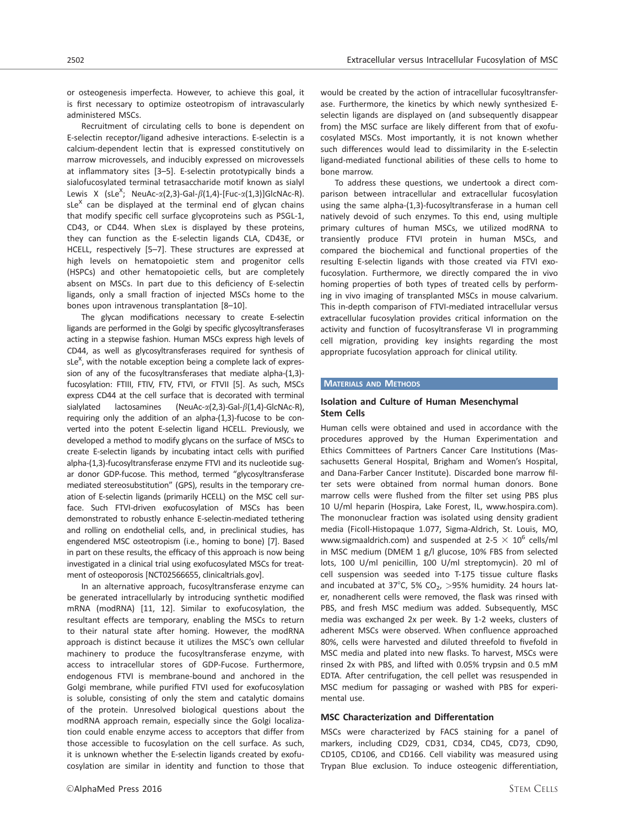or osteogenesis imperfecta. However, to achieve this goal, it is first necessary to optimize osteotropism of intravascularly administered MSCs.

Recruitment of circulating cells to bone is dependent on E-selectin receptor/ligand adhesive interactions. E-selectin is a calcium-dependent lectin that is expressed constitutively on marrow microvessels, and inducibly expressed on microvessels at inflammatory sites [3–5]. E-selectin prototypically binds a sialofucosylated terminal tetrasaccharide motif known as sialyl Lewis X (sLe<sup>X</sup>; NeuAc- $\alpha$ (2,3)-Gal- $\beta$ (1,4)-[Fuc- $\alpha$ (1,3)]GlcNAc-R). sLe $^{\text{X}}$  can be displayed at the terminal end of glycan chains that modify specific cell surface glycoproteins such as PSGL-1, CD43, or CD44. When sLex is displayed by these proteins, they can function as the E-selectin ligands CLA, CD43E, or HCELL, respectively [5–7]. These structures are expressed at high levels on hematopoietic stem and progenitor cells (HSPCs) and other hematopoietic cells, but are completely absent on MSCs. In part due to this deficiency of E-selectin ligands, only a small fraction of injected MSCs home to the bones upon intravenous transplantation [8–10].

The glycan modifications necessary to create E-selectin ligands are performed in the Golgi by specific glycosyltransferases acting in a stepwise fashion. Human MSCs express high levels of CD44, as well as glycosyltransferases required for synthesis of sLe<sup>X</sup>, with the notable exception being a complete lack of expression of any of the fucosyltransferases that mediate alpha-(1,3) fucosylation: FTIII, FTIV, FTV, FTVI, or FTVII [5]. As such, MSCs express CD44 at the cell surface that is decorated with terminal sialylated lactosamines (NeuAc- $\alpha$ (2,3)-Gal- $\beta$ (1,4)-GlcNAc-R), requiring only the addition of an alpha-(1,3)-fucose to be converted into the potent E-selectin ligand HCELL. Previously, we developed a method to modify glycans on the surface of MSCs to create E-selectin ligands by incubating intact cells with purified alpha-(1,3)-fucosyltransferase enzyme FTVI and its nucleotide sugar donor GDP-fucose. This method, termed "glycosyltransferase mediated stereosubstitution" (GPS), results in the temporary creation of E-selectin ligands (primarily HCELL) on the MSC cell surface. Such FTVI-driven exofucosylation of MSCs has been demonstrated to robustly enhance E-selectin-mediated tethering and rolling on endothelial cells, and, in preclinical studies, has engendered MSC osteotropism (i.e., homing to bone) [7]. Based in part on these results, the efficacy of this approach is now being investigated in a clinical trial using exofucosylated MSCs for treatment of osteoporosis [NCT02566655, clinicaltrials.gov].

In an alternative approach, fucosyltransferase enzyme can be generated intracellularly by introducing synthetic modified mRNA (modRNA) [11, 12]. Similar to exofucosylation, the resultant effects are temporary, enabling the MSCs to return to their natural state after homing. However, the modRNA approach is distinct because it utilizes the MSC's own cellular machinery to produce the fucosyltransferase enzyme, with access to intracellular stores of GDP-Fucose. Furthermore, endogenous FTVI is membrane-bound and anchored in the Golgi membrane, while purified FTVI used for exofucosylation is soluble, consisting of only the stem and catalytic domains of the protein. Unresolved biological questions about the modRNA approach remain, especially since the Golgi localization could enable enzyme access to acceptors that differ from those accessible to fucosylation on the cell surface. As such, it is unknown whether the E-selectin ligands created by exofucosylation are similar in identity and function to those that would be created by the action of intracellular fucosyltransferase. Furthermore, the kinetics by which newly synthesized Eselectin ligands are displayed on (and subsequently disappear from) the MSC surface are likely different from that of exofucosylated MSCs. Most importantly, it is not known whether such differences would lead to dissimilarity in the E-selectin ligand-mediated functional abilities of these cells to home to bone marrow.

To address these questions, we undertook a direct comparison between intracellular and extracellular fucosylation using the same alpha-(1,3)-fucosyltransferase in a human cell natively devoid of such enzymes. To this end, using multiple primary cultures of human MSCs, we utilized modRNA to transiently produce FTVI protein in human MSCs, and compared the biochemical and functional properties of the resulting E-selectin ligands with those created via FTVI exofucosylation. Furthermore, we directly compared the in vivo homing properties of both types of treated cells by performing in vivo imaging of transplanted MSCs in mouse calvarium. This in-depth comparison of FTVI-mediated intracellular versus extracellular fucosylation provides critical information on the activity and function of fucosyltransferase VI in programming cell migration, providing key insights regarding the most appropriate fucosylation approach for clinical utility.

#### **MATERIALS AND METHODS**

## Isolation and Culture of Human Mesenchymal Stem Cells

Human cells were obtained and used in accordance with the procedures approved by the Human Experimentation and Ethics Committees of Partners Cancer Care Institutions (Massachusetts General Hospital, Brigham and Women's Hospital, and Dana-Farber Cancer Institute). Discarded bone marrow filter sets were obtained from normal human donors. Bone marrow cells were flushed from the filter set using PBS plus 10 U/ml heparin (Hospira, Lake Forest, IL, www.hospira.com). The mononuclear fraction was isolated using density gradient media (Ficoll-Histopaque 1.077, Sigma-Aldrich, St. Louis, MO, www.sigmaaldrich.com) and suspended at 2-5  $\times$  10<sup>6</sup> cells/ml in MSC medium (DMEM 1 g/l glucose, 10% FBS from selected lots, 100 U/ml penicillin, 100 U/ml streptomycin). 20 ml of cell suspension was seeded into T-175 tissue culture flasks and incubated at 37°C, 5% CO<sub>2</sub>, >95% humidity. 24 hours later, nonadherent cells were removed, the flask was rinsed with PBS, and fresh MSC medium was added. Subsequently, MSC media was exchanged 2x per week. By 1-2 weeks, clusters of adherent MSCs were observed. When confluence approached 80%, cells were harvested and diluted threefold to fivefold in MSC media and plated into new flasks. To harvest, MSCs were rinsed 2x with PBS, and lifted with 0.05% trypsin and 0.5 mM EDTA. After centrifugation, the cell pellet was resuspended in MSC medium for passaging or washed with PBS for experimental use.

## MSC Characterization and Differentation

MSCs were characterized by FACS staining for a panel of markers, including CD29, CD31, CD34, CD45, CD73, CD90, CD105, CD106, and CD166. Cell viability was measured using Trypan Blue exclusion. To induce osteogenic differentiation,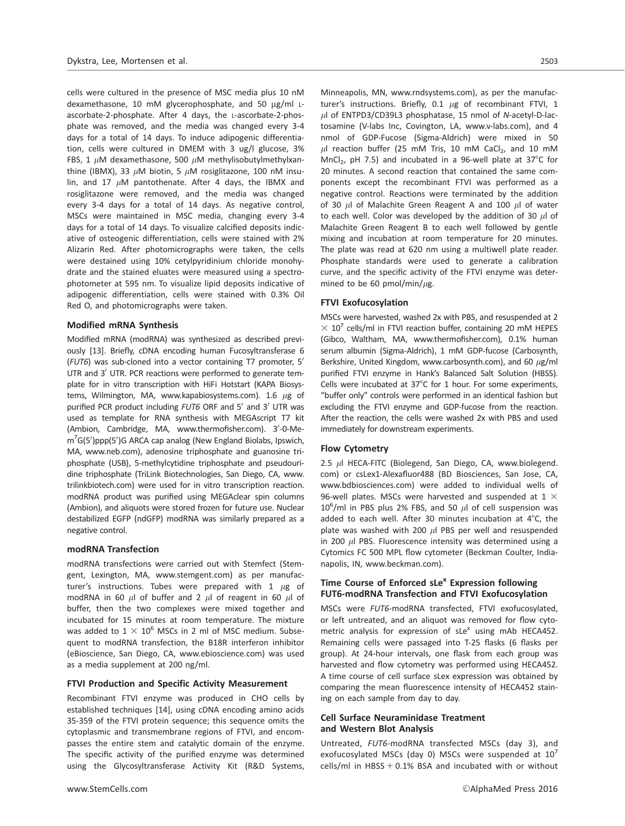cells were cultured in the presence of MSC media plus 10 nM dexamethasone, 10 mM glycerophosphate, and 50 µg/ml Lascorbate-2-phosphate. After 4 days, the L-ascorbate-2-phosphate was removed, and the media was changed every 3-4 days for a total of 14 days. To induce adipogenic differentiation, cells were cultured in DMEM with 3 ug/l glucose, 3% FBS, 1  $\mu$ M dexamethasone, 500  $\mu$ M methylisobutylmethylxanthine (IBMX), 33  $\mu$ M biotin, 5  $\mu$ M rosiglitazone, 100 nM insulin, and 17  $\mu$ M pantothenate. After 4 days, the IBMX and rosiglitazone were removed, and the media was changed every 3-4 days for a total of 14 days. As negative control, MSCs were maintained in MSC media, changing every 3-4 days for a total of 14 days. To visualize calcified deposits indicative of osteogenic differentiation, cells were stained with 2% Alizarin Red. After photomicrographs were taken, the cells were destained using 10% cetylpyridinium chloride monohydrate and the stained eluates were measured using a spectrophotometer at 595 nm. To visualize lipid deposits indicative of adipogenic differentiation, cells were stained with 0.3% Oil Red O, and photomicrographs were taken.

#### Modified mRNA Synthesis

Modified mRNA (modRNA) was synthesized as described previously [13]. Briefly, cDNA encoding human Fucosyltransferase 6 (FUT6) was sub-cloned into a vector containing T7 promoter, 5' UTR and  $3'$  UTR. PCR reactions were performed to generate template for in vitro transcription with HiFi Hotstart (KAPA Biosystems, Wilmington, MA, [www.kapabiosystems.com\)](http://www.kapabiosystems.com). 1.6  $\mu$ g of purified PCR product including  $FUT6$  ORF and  $5'$  and  $3'$  UTR was used as template for RNA synthesis with MEGAscript T7 kit (Ambion, Cambridge, MA, www.thermofisher.com). 3'-0-Mem<sup>7</sup>G(5')ppp(5')G ARCA cap analog (New England Biolabs, Ipswich, MA, www.neb.com), adenosine triphosphate and guanosine triphosphate (USB), 5-methylcytidine triphosphate and pseudouridine triphosphate (TriLink Biotechnologies, San Diego, CA, [www.](http://www.trilinkbiotech.com) [trilinkbiotech.com](http://www.trilinkbiotech.com)) were used for in vitro transcription reaction. modRNA product was purified using MEGAclear spin columns (Ambion), and aliquots were stored frozen for future use. Nuclear destabilized EGFP (ndGFP) modRNA was similarly prepared as a negative control.

#### modRNA Transfection

modRNA transfections were carried out with Stemfect (Stemgent, Lexington, MA, www.stemgent.com) as per manufacturer's instructions. Tubes were prepared with 1  $\mu$ g of modRNA in 60  $\mu$ l of buffer and 2  $\mu$ l of reagent in 60  $\mu$ l of buffer, then the two complexes were mixed together and incubated for 15 minutes at room temperature. The mixture was added to  $1 \times 10^6$  MSCs in 2 ml of MSC medium. Subsequent to modRNA transfection, the B18R interferon inhibitor (eBioscience, San Diego, CA, www.ebioscience.com) was used as a media supplement at 200 ng/ml.

#### FTVI Production and Specific Activity Measurement

Recombinant FTVI enzyme was produced in CHO cells by established techniques [14], using cDNA encoding amino acids 35-359 of the FTVI protein sequence; this sequence omits the cytoplasmic and transmembrane regions of FTVI, and encompasses the entire stem and catalytic domain of the enzyme. The specific activity of the purified enzyme was determined using the Glycosyltransferase Activity Kit (R&D Systems,

Minneapolis, MN, www.rndsystems.com), as per the manufacturer's instructions. Briefly, 0.1  $\mu$ g of recombinant FTVI, 1  $\mu$ l of ENTPD3/CD39L3 phosphatase, 15 nmol of N-acetyl-D-lactosamine (V-labs Inc, Covington, LA, www.v-labs.com), and 4 nmol of GDP-Fucose (Sigma-Aldrich) were mixed in 50  $\mu$ l reaction buffer (25 mM Tris, 10 mM CaCl<sub>2</sub>, and 10 mM MnCl<sub>2</sub>, pH 7.5) and incubated in a 96-well plate at 37 $^{\circ}$ C for 20 minutes. A second reaction that contained the same components except the recombinant FTVI was performed as a negative control. Reactions were terminated by the addition of 30  $\mu$ l of Malachite Green Reagent A and 100  $\mu$ l of water to each well. Color was developed by the addition of 30  $\mu$ l of Malachite Green Reagent B to each well followed by gentle mixing and incubation at room temperature for 20 minutes. The plate was read at 620 nm using a multiwell plate reader. Phosphate standards were used to generate a calibration curve, and the specific activity of the FTVI enzyme was determined to be 60 pmol/min/ $\mu$ g.

#### FTVI Exofucosylation

MSCs were harvested, washed 2x with PBS, and resuspended at 2  $\times$  10<sup>7</sup> cells/ml in FTVI reaction buffer, containing 20 mM HEPES (Gibco, Waltham, MA, www.thermofisher.com), 0.1% human serum albumin (Sigma-Aldrich), 1 mM GDP-fucose (Carbosynth, Berkshire, United Kingdom, [www.carbosynth.com](http://www.carbosynth.com)), and 60  $\mu$ g/ml purified FTVI enzyme in Hank's Balanced Salt Solution (HBSS). Cells were incubated at  $37^{\circ}$ C for 1 hour. For some experiments, "buffer only" controls were performed in an identical fashion but excluding the FTVI enzyme and GDP-fucose from the reaction. After the reaction, the cells were washed 2x with PBS and used immediately for downstream experiments.

#### Flow Cytometry

2.5  $\mu$ l HECA-FITC (Biolegend, San Diego, CA, [www.biolegend.](http://www.biolegend.com) [com](http://www.biolegend.com)) or csLex1-Alexafluor488 (BD Biosciences, San Jose, CA, www.bdbiosciences.com) were added to individual wells of 96-well plates. MSCs were harvested and suspended at 1  $\times$  $10^6$ /ml in PBS plus 2% FBS, and 50  $\mu$ l of cell suspension was added to each well. After 30 minutes incubation at  $4^{\circ}$ C, the plate was washed with 200  $\mu$ l PBS per well and resuspended in 200  $\mu$ l PBS. Fluorescence intensity was determined using a Cytomics FC 500 MPL flow cytometer (Beckman Coulter, Indianapolis, IN, www.beckman.com).

## Time Course of Enforced  $s$ Le<sup>x</sup> Expression following FUT6-modRNA Transfection and FTVI Exofucosylation

MSCs were FUT6-modRNA transfected, FTVI exofucosylated, or left untreated, and an aliquot was removed for flow cytometric analysis for expression of  $sLe^{x}$  using mAb HECA452. Remaining cells were passaged into T-25 flasks (6 flasks per group). At 24-hour intervals, one flask from each group was harvested and flow cytometry was performed using HECA452. A time course of cell surface sLex expression was obtained by comparing the mean fluorescence intensity of HECA452 staining on each sample from day to day.

## Cell Surface Neuraminidase Treatment and Western Blot Analysis

Untreated, FUT6-modRNA transfected MSCs (day 3), and exofucosylated MSCs (day 0) MSCs were suspended at  $10^7$ cells/ml in HBSS  $+$  0.1% BSA and incubated with or without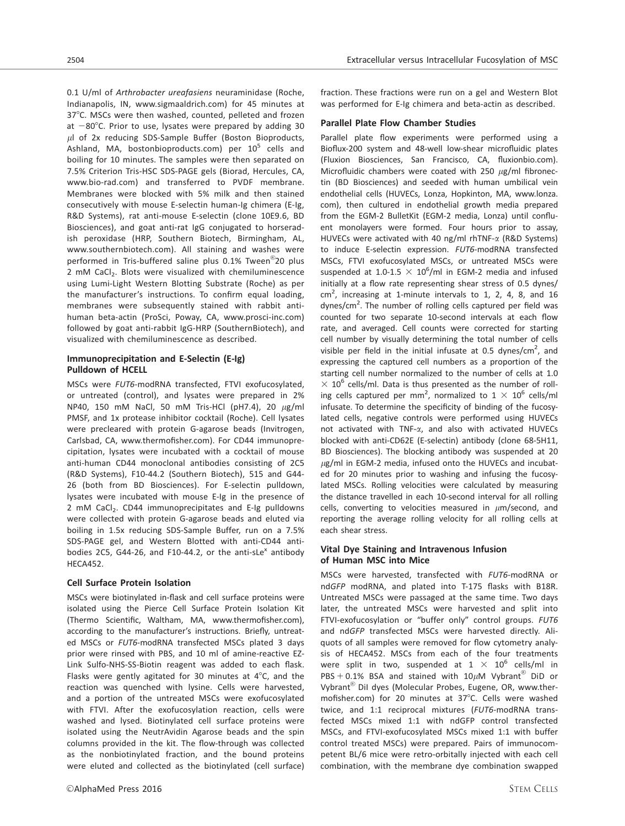0.1 U/ml of Arthrobacter ureafasiens neuraminidase (Roche, Indianapolis, IN, www.sigmaaldrich.com) for 45 minutes at 37°C. MSCs were then washed, counted, pelleted and frozen at  $-80^{\circ}$ C. Prior to use, lysates were prepared by adding 30  $\mu$ l of 2x reducing SDS-Sample Buffer (Boston Bioproducts, Ashland, MA, bostonbioproducts.com) per  $10^5$  cells and boiling for 10 minutes. The samples were then separated on 7.5% Criterion Tris-HSC SDS-PAGE gels (Biorad, Hercules, CA, www.bio-rad.com) and transferred to PVDF membrane. Membranes were blocked with 5% milk and then stained consecutively with mouse E-selectin human-Ig chimera (E-Ig, R&D Systems), rat anti-mouse E-selectin (clone 10E9.6, BD Biosciences), and goat anti-rat IgG conjugated to horseradish peroxidase (HRP, Southern Biotech, Birmingham, AL, www.southernbiotech.com). All staining and washes were performed in Tris-buffered saline plus 0.1% Tween<sup>®</sup>20 plus 2 mM CaCl<sub>2</sub>. Blots were visualized with chemiluminescence using Lumi-Light Western Blotting Substrate (Roche) as per the manufacturer's instructions. To confirm equal loading, membranes were subsequently stained with rabbit antihuman beta-actin (ProSci, Poway, CA, www.prosci-inc.com) followed by goat anti-rabbit IgG-HRP (SouthernBiotech), and visualized with chemiluminescence as described.

## Immunoprecipitation and E-Selectin (E-Ig) Pulldown of HCELL

MSCs were FUT6-modRNA transfected, FTVI exofucosylated, or untreated (control), and lysates were prepared in 2% NP40, 150 mM NaCl, 50 mM Tris-HCl (pH7.4), 20  $\mu$ g/ml PMSF, and 1x protease inhibitor cocktail (Roche). Cell lysates were precleared with protein G-agarose beads (Invitrogen, Carlsbad, CA, www.thermofisher.com). For CD44 immunoprecipitation, lysates were incubated with a cocktail of mouse anti-human CD44 monoclonal antibodies consisting of 2C5 (R&D Systems), F10-44.2 (Southern Biotech), 515 and G44- 26 (both from BD Biosciences). For E-selectin pulldown, lysates were incubated with mouse E-Ig in the presence of 2 mM CaCl<sub>2</sub>. CD44 immunoprecipitates and E-Ig pulldowns were collected with protein G-agarose beads and eluted via boiling in 1.5x reducing SDS-Sample Buffer, run on a 7.5% SDS-PAGE gel, and Western Blotted with anti-CD44 antibodies 2C5, G44-26, and F10-44.2, or the anti-sLe<sup>x</sup> antibody HECA452.

#### Cell Surface Protein Isolation

MSCs were biotinylated in-flask and cell surface proteins were isolated using the Pierce Cell Surface Protein Isolation Kit (Thermo Scientific, Waltham, MA, www.thermofisher.com), according to the manufacturer's instructions. Briefly, untreated MSCs or FUT6-modRNA transfected MSCs plated 3 days prior were rinsed with PBS, and 10 ml of amine-reactive EZ-Link Sulfo-NHS-SS-Biotin reagent was added to each flask. Flasks were gently agitated for 30 minutes at  $4^{\circ}$ C, and the reaction was quenched with lysine. Cells were harvested, and a portion of the untreated MSCs were exofucosylated with FTVI. After the exofucosylation reaction, cells were washed and lysed. Biotinylated cell surface proteins were isolated using the NeutrAvidin Agarose beads and the spin columns provided in the kit. The flow-through was collected as the nonbiotinylated fraction, and the bound proteins were eluted and collected as the biotinylated (cell surface)

fraction. These fractions were run on a gel and Western Blot was performed for E-Ig chimera and beta-actin as described.

#### Parallel Plate Flow Chamber Studies

Parallel plate flow experiments were performed using a Bioflux-200 system and 48-well low-shear microfluidic plates (Fluxion Biosciences, San Francisco, CA, fluxionbio.com). Microfluidic chambers were coated with 250  $\mu$ g/ml fibronectin (BD Biosciences) and seeded with human umbilical vein endothelial cells (HUVECs, Lonza, Hopkinton, MA, [www.lonza.](http://www.lonza.com) [com](http://www.lonza.com)), then cultured in endothelial growth media prepared from the EGM-2 BulletKit (EGM-2 media, Lonza) until confluent monolayers were formed. Four hours prior to assay, HUVECs were activated with 40 ng/ml rhTNF-a (R&D Systems) to induce E-selectin expression. FUT6-modRNA transfected MSCs, FTVI exofucosylated MSCs, or untreated MSCs were suspended at 1.0-1.5  $\times$  10<sup>6</sup>/ml in EGM-2 media and infused initially at a flow rate representing shear stress of 0.5 dynes/  $cm<sup>2</sup>$ , increasing at 1-minute intervals to 1, 2, 4, 8, and 16 dynes/cm<sup>2</sup>. The number of rolling cells captured per field was counted for two separate 10-second intervals at each flow rate, and averaged. Cell counts were corrected for starting cell number by visually determining the total number of cells visible per field in the initial infusate at 0.5 dynes/cm<sup>2</sup>, and expressing the captured cell numbers as a proportion of the starting cell number normalized to the number of cells at 1.0  $\times$  10<sup>6</sup> cells/ml. Data is thus presented as the number of rolling cells captured per mm<sup>2</sup>, normalized to  $1 \times 10^6$  cells/ml infusate. To determine the specificity of binding of the fucosylated cells, negative controls were performed using HUVECs not activated with TNF-a, and also with activated HUVECs blocked with anti-CD62E (E-selectin) antibody (clone 68-5H11, BD Biosciences). The blocking antibody was suspended at 20  $\mu$ g/ml in EGM-2 media, infused onto the HUVECs and incubated for 20 minutes prior to washing and infusing the fucosylated MSCs. Rolling velocities were calculated by measuring the distance travelled in each 10-second interval for all rolling cells, converting to velocities measured in  $\mu$ m/second, and reporting the average rolling velocity for all rolling cells at each shear stress.

## Vital Dye Staining and Intravenous Infusion of Human MSC into Mice

MSCs were harvested, transfected with FUT6-modRNA or ndGFP modRNA, and plated into T-175 flasks with B18R. Untreated MSCs were passaged at the same time. Two days later, the untreated MSCs were harvested and split into FTVI-exofucosylation or "buffer only" control groups. FUT6 and ndGFP transfected MSCs were harvested directly. Aliquots of all samples were removed for flow cytometry analysis of HECA452. MSCs from each of the four treatments were split in two, suspended at  $1 \times 10^6$  cells/ml in PBS + 0.1% BSA and stained with 10 $\mu$ M Vybrant<sup>®</sup> DiD or Vybrant® DiI dyes (Molecular Probes, Eugene, OR, www.thermofisher.com) for 20 minutes at  $37^{\circ}$ C. Cells were washed twice, and 1:1 reciprocal mixtures (FUT6-modRNA transfected MSCs mixed 1:1 with ndGFP control transfected MSCs, and FTVI-exofucosylated MSCs mixed 1:1 with buffer control treated MSCs) were prepared. Pairs of immunocompetent BL/6 mice were retro-orbitally injected with each cell combination, with the membrane dye combination swapped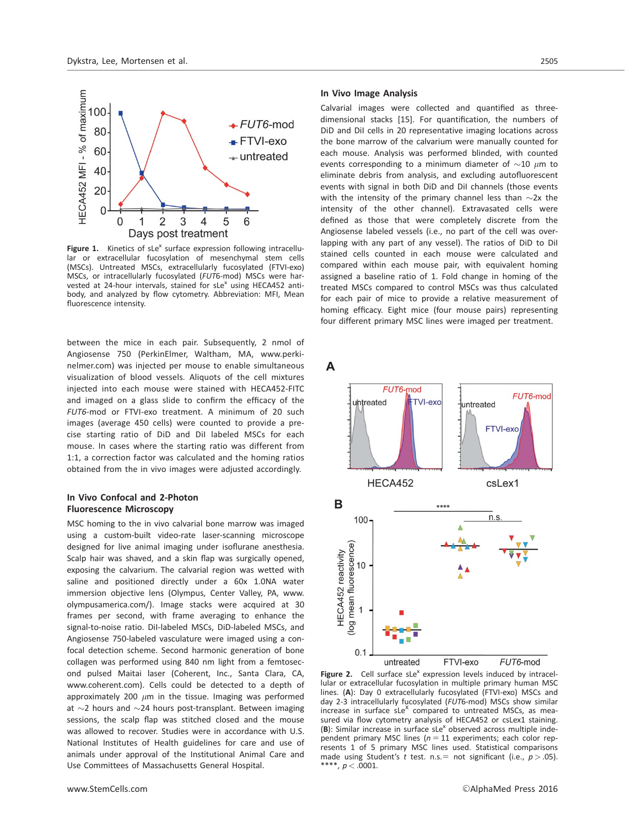

Figure 1. Kinetics of sLe<sup>x</sup> surface expression following intracellular or extracellular fucosylation of mesenchymal stem cells (MSCs). Untreated MSCs, extracellularly fucosylated (FTVI-exo) MSCs, or intracellularly fucosylated (FUT6-mod) MSCs were harvested at 24-hour intervals, stained for  $sLe^{x}$  using HECA452 antibody, and analyzed by flow cytometry. Abbreviation: MFI, Mean fluorescence intensity.

between the mice in each pair. Subsequently, 2 nmol of Angiosense 750 (PerkinElmer, Waltham, MA, [www.perki](http://www.perkinelmer.com)[nelmer.com](http://www.perkinelmer.com)) was injected per mouse to enable simultaneous visualization of blood vessels. Aliquots of the cell mixtures injected into each mouse were stained with HECA452-FITC and imaged on a glass slide to confirm the efficacy of the FUT6-mod or FTVI-exo treatment. A minimum of 20 such images (average 450 cells) were counted to provide a precise starting ratio of DiD and DiI labeled MSCs for each mouse. In cases where the starting ratio was different from 1:1, a correction factor was calculated and the homing ratios obtained from the in vivo images were adjusted accordingly.

## In Vivo Confocal and 2-Photon Fluorescence Microscopy

MSC homing to the in vivo calvarial bone marrow was imaged using a custom-built video-rate laser-scanning microscope designed for live animal imaging under isoflurane anesthesia. Scalp hair was shaved, and a skin flap was surgically opened, exposing the calvarium. The calvarial region was wetted with saline and positioned directly under a 60x 1.0NA water immersion objective lens (Olympus, Center Valley, PA, [www.](http://www.olympusamerica.com/) [olympusamerica.com/](http://www.olympusamerica.com/)). Image stacks were acquired at 30 frames per second, with frame averaging to enhance the signal-to-noise ratio. DiI-labeled MSCs, DiD-labeled MSCs, and Angiosense 750-labeled vasculature were imaged using a confocal detection scheme. Second harmonic generation of bone collagen was performed using 840 nm light from a femtosecond pulsed Maitai laser (Coherent, Inc., Santa Clara, CA, www.coherent.com). Cells could be detected to a depth of approximately 200  $\mu$ m in the tissue. Imaging was performed at  $\sim$ 2 hours and  $\sim$ 24 hours post-transplant. Between imaging sessions, the scalp flap was stitched closed and the mouse was allowed to recover. Studies were in accordance with U.S. National Institutes of Health guidelines for care and use of animals under approval of the Institutional Animal Care and Use Committees of Massachusetts General Hospital.

#### In Vivo Image Analysis

Calvarial images were collected and quantified as threedimensional stacks [15]. For quantification, the numbers of DiD and DiI cells in 20 representative imaging locations across the bone marrow of the calvarium were manually counted for each mouse. Analysis was performed blinded, with counted events corresponding to a minimum diameter of  ${\sim}10$   $\mu$ m to eliminate debris from analysis, and excluding autofluorescent events with signal in both DiD and DiI channels (those events with the intensity of the primary channel less than  $\sim$ 2x the intensity of the other channel). Extravasated cells were defined as those that were completely discrete from the Angiosense labeled vessels (i.e., no part of the cell was overlapping with any part of any vessel). The ratios of DiD to DiI stained cells counted in each mouse were calculated and compared within each mouse pair, with equivalent homing assigned a baseline ratio of 1. Fold change in homing of the treated MSCs compared to control MSCs was thus calculated for each pair of mice to provide a relative measurement of homing efficacy. Eight mice (four mouse pairs) representing four different primary MSC lines were imaged per treatment.

A



Figure 2. Cell surface  $sLe^{x}$  expression levels induced by intracellular or extracellular fucosylation in multiple primary human MSC lines. (A): Day 0 extracellularly fucosylated (FTVI-exo) MSCs and day 2-3 intracellularly fucosylated (FUT6-mod) MSCs show similar increase in surface  $sLe^X$  compared to untreated MSCs, as measured via flow cytometry analysis of HECA452 or csLex1 staining.  $(B)$ : Similar increase in surface sLe<sup>x</sup> observed across multiple independent primary MSC lines ( $n = 11$  experiments; each color represents 1 of 5 primary MSC lines used. Statistical comparisons made using Student's t test. n.s. = not significant (i.e.,  $p > .05$ ). \*\*\*\*,  $p < .0001$ .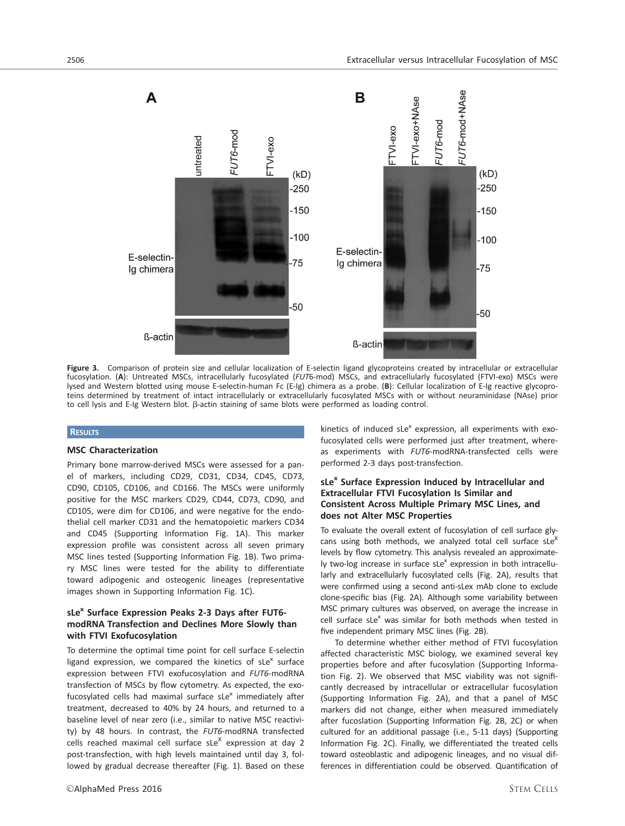

Figure 3. Comparison of protein size and cellular localization of E-selectin ligand glycoproteins created by intracellular or extracellular fucosylation. (A): Untreated MSCs, intracellularly fucosylated (FUT6-mod) MSCs, and extracellularly fucosylated (FTVI-exo) MSCs were lysed and Western blotted using mouse E-selectin-human Fc (E-Ig) chimera as a probe. (B): Cellular localization of E-Ig reactive glycoproteins determined by treatment of intact intracellularly or extracellularly fucosylated MSCs with or without neuraminidase (NAse) prior to cell lysis and E-Ig Western blot. β-actin staining of same blots were performed as loading control.

## **RESULTS**

#### MSC Characterization

Primary bone marrow-derived MSCs were assessed for a panel of markers, including CD29, CD31, CD34, CD45, CD73, CD90, CD105, CD106, and CD166. The MSCs were uniformly positive for the MSC markers CD29, CD44, CD73, CD90, and CD105, were dim for CD106, and were negative for the endothelial cell marker CD31 and the hematopoietic markers CD34 and CD45 (Supporting Information Fig. 1A). This marker expression profile was consistent across all seven primary MSC lines tested (Supporting Information Fig. 1B). Two primary MSC lines were tested for the ability to differentiate toward adipogenic and osteogenic lineages (representative images shown in Supporting Information Fig. 1C).

## sLe<sup>x</sup> Surface Expression Peaks 2-3 Days after FUT6modRNA Transfection and Declines More Slowly than with FTVI Exofucosylation

To determine the optimal time point for cell surface E-selectin ligand expression, we compared the kinetics of  $sLe^{x}$  surface expression between FTVI exofucosylation and FUT6-modRNA transfection of MSCs by flow cytometry. As expected, the exofucosylated cells had maximal surface  $sLe^{x}$  immediately after treatment, decreased to 40% by 24 hours, and returned to a baseline level of near zero (i.e., similar to native MSC reactivity) by 48 hours. In contrast, the FUT6-modRNA transfected cells reached maximal cell surface sLe<sup>X</sup> expression at day 2 post-transfection, with high levels maintained until day 3, followed by gradual decrease thereafter (Fig. 1). Based on these

kinetics of induced  $sLe^{x}$  expression, all experiments with exofucosylated cells were performed just after treatment, whereas experiments with FUT6-modRNA-transfected cells were performed 2-3 days post-transfection.

## sLe<sup>x</sup> Surface Expression Induced by Intracellular and Extracellular FTVI Fucosylation Is Similar and Consistent Across Multiple Primary MSC Lines, and does not Alter MSC Properties

To evaluate the overall extent of fucosylation of cell surface glycans using both methods, we analyzed total cell surface sLe<sup>x</sup> levels by flow cytometry. This analysis revealed an approximately two-log increase in surface sLe<sup>x</sup> expression in both intracellularly and extracellularly fucosylated cells (Fig. 2A), results that were confirmed using a second anti-sLex mAb clone to exclude clone-specific bias (Fig. 2A). Although some variability between MSC primary cultures was observed, on average the increase in cell surface  $sLe^{x}$  was similar for both methods when tested in five independent primary MSC lines (Fig. 2B).

To determine whether either method of FTVI fucosylation affected characteristic MSC biology, we examined several key properties before and after fucosylation (Supporting Information Fig. 2). We observed that MSC viability was not significantly decreased by intracellular or extracellular fucosylation (Supporting Information Fig. 2A), and that a panel of MSC markers did not change, either when measured immediately after fucoslation (Supporting Information Fig. 2B, 2C) or when cultured for an additional passage (i.e., 5-11 days) (Supporting Information Fig. 2C). Finally, we differentiated the treated cells toward osteoblastic and adipogenic lineages, and no visual differences in differentiation could be observed. Quantification of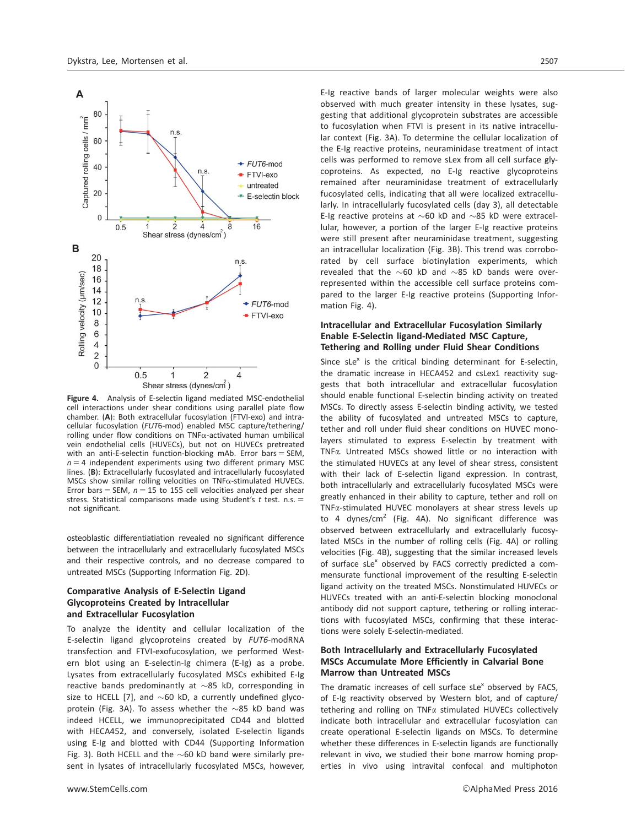

Figure 4. Analysis of E-selectin ligand mediated MSC-endothelial cell interactions under shear conditions using parallel plate flow chamber. (A): Both extracellular fucosylation (FTVI-exo) and intracellular fucosylation (FUT6-mod) enabled MSC capture/tethering/ rolling under flow conditions on TNF $\alpha$ -activated human umbilical vein endothelial cells (HUVECs), but not on HUVECs pretreated with an anti-E-selectin function-blocking mAb. Error bars  $=$  SEM,  $n = 4$  independent experiments using two different primary MSC lines. (B): Extracellularly fucosylated and intracellularly fucosylated MSCs show similar rolling velocities on TNFa-stimulated HUVECs. Error bars = SEM,  $n = 15$  to 155 cell velocities analyzed per shear stress. Statistical comparisons made using Student's t test. n.s.  $=$ not significant.

osteoblastic differentiatiation revealed no significant difference between the intracellularly and extracellularly fucosylated MSCs and their respective controls, and no decrease compared to untreated MSCs (Supporting Information Fig. 2D).

## Comparative Analysis of E-Selectin Ligand Glycoproteins Created by Intracellular and Extracellular Fucosylation

To analyze the identity and cellular localization of the E-selectin ligand glycoproteins created by FUT6-modRNA transfection and FTVI-exofucosylation, we performed Western blot using an E-selectin-Ig chimera (E-Ig) as a probe. Lysates from extracellularly fucosylated MSCs exhibited E-Ig reactive bands predominantly at  $\sim$ 85 kD, corresponding in size to HCELL [7], and  $\sim$  60 kD, a currently undefined glycoprotein (Fig. 3A). To assess whether the  $\sim$ 85 kD band was indeed HCELL, we immunoprecipitated CD44 and blotted with HECA452, and conversely, isolated E-selectin ligands using E-Ig and blotted with CD44 (Supporting Information Fig. 3). Both HCELL and the  $\sim$  60 kD band were similarly present in lysates of intracellularly fucosylated MSCs, however,

E-Ig reactive bands of larger molecular weights were also observed with much greater intensity in these lysates, suggesting that additional glycoprotein substrates are accessible to fucosylation when FTVI is present in its native intracellular context (Fig. 3A). To determine the cellular localization of the E-Ig reactive proteins, neuraminidase treatment of intact cells was performed to remove sLex from all cell surface glycoproteins. As expected, no E-Ig reactive glycoproteins remained after neuraminidase treatment of extracellularly fucosylated cells, indicating that all were localized extracellularly. In intracellularly fucosylated cells (day 3), all detectable E-Ig reactive proteins at  $\sim$  60 kD and  $\sim$  85 kD were extracellular, however, a portion of the larger E-Ig reactive proteins were still present after neuraminidase treatment, suggesting an intracellular localization (Fig. 3B). This trend was corroborated by cell surface biotinylation experiments, which revealed that the  $\sim$ 60 kD and  $\sim$ 85 kD bands were overrepresented within the accessible cell surface proteins compared to the larger E-Ig reactive proteins (Supporting Information Fig. 4).

## Intracellular and Extracellular Fucosylation Similarly Enable E-Selectin ligand-Mediated MSC Capture, Tethering and Rolling under Fluid Shear Conditions

Since  $sLe^{x}$  is the critical binding determinant for E-selectin, the dramatic increase in HECA452 and csLex1 reactivity suggests that both intracellular and extracellular fucosylation should enable functional E-selectin binding activity on treated MSCs. To directly assess E-selectin binding activity, we tested the ability of fucosylated and untreated MSCs to capture, tether and roll under fluid shear conditions on HUVEC monolayers stimulated to express E-selectin by treatment with TNFa. Untreated MSCs showed little or no interaction with the stimulated HUVECs at any level of shear stress, consistent with their lack of E-selectin ligand expression. In contrast, both intracellularly and extracellularly fucosylated MSCs were greatly enhanced in their ability to capture, tether and roll on TNFa-stimulated HUVEC monolayers at shear stress levels up to 4 dynes/cm<sup>2</sup> (Fig. 4A). No significant difference was observed between extracellularly and extracellularly fucosylated MSCs in the number of rolling cells (Fig. 4A) or rolling velocities (Fig. 4B), suggesting that the similar increased levels of surface sLe<sup>x</sup> observed by FACS correctly predicted a commensurate functional improvement of the resulting E-selectin ligand activity on the treated MSCs. Nonstimulated HUVECs or HUVECs treated with an anti-E-selectin blocking monoclonal antibody did not support capture, tethering or rolling interactions with fucosylated MSCs, confirming that these interactions were solely E-selectin-mediated.

## Both Intracellularly and Extracellularly Fucosylated MSCs Accumulate More Efficiently in Calvarial Bone Marrow than Untreated MSCs

The dramatic increases of cell surface  $s$ Le<sup>x</sup> observed by FACS, of E-Ig reactivity observed by Western blot, and of capture/ tethering and rolling on TNF<sub>x</sub> stimulated HUVECs collectively indicate both intracellular and extracellular fucosylation can create operational E-selectin ligands on MSCs. To determine whether these differences in E-selectin ligands are functionally relevant in vivo, we studied their bone marrow homing properties in vivo using intravital confocal and multiphoton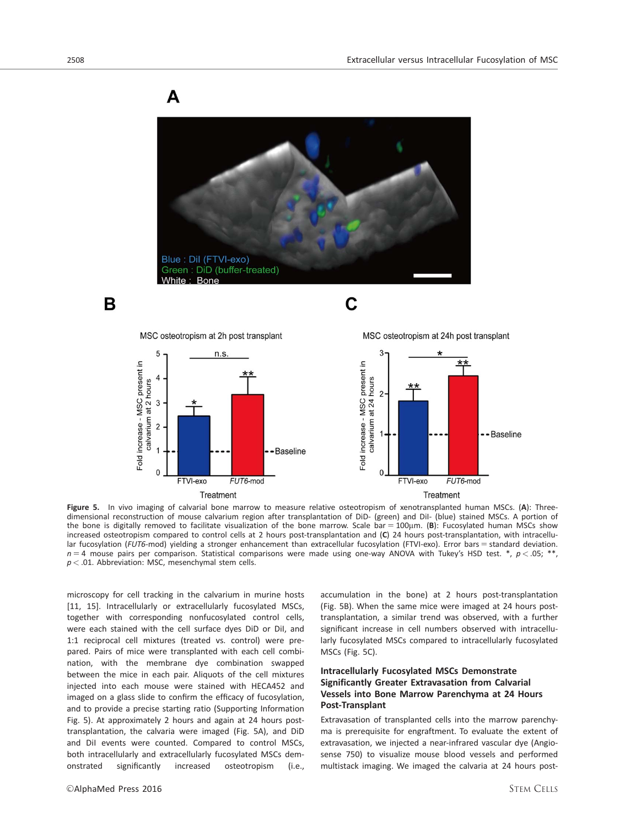A





C



Figure 5. In vivo imaging of calvarial bone marrow to measure relative osteotropism of xenotransplanted human MSCs. (A): Threedimensional reconstruction of mouse calvarium region after transplantation of DiD- (green) and DiI- (blue) stained MSCs. A portion of the bone is digitally removed to facilitate visualization of the bone marrow. Scale bar =  $100 \mu m$ . (B): Fucosylated human MSCs show increased osteotropism compared to control cells at 2 hours post-transplantation and (C) 24 hours post-transplantation, with intracellular fucosylation (FUT6-mod) yielding a stronger enhancement than extracellular fucosylation (FTVI-exo). Error bars = standard deviation.  $n = 4$  mouse pairs per comparison. Statistical comparisons were made using one-way ANOVA with Tukey's HSD test. \*,  $p < .05$ ; \*\*,  $p < .01$ . Abbreviation: MSC, mesenchymal stem cells.

microscopy for cell tracking in the calvarium in murine hosts [11, 15]. Intracellularly or extracellularly fucosylated MSCs, together with corresponding nonfucosylated control cells, were each stained with the cell surface dyes DiD or DiI, and 1:1 reciprocal cell mixtures (treated vs. control) were prepared. Pairs of mice were transplanted with each cell combination, with the membrane dye combination swapped between the mice in each pair. Aliquots of the cell mixtures injected into each mouse were stained with HECA452 and imaged on a glass slide to confirm the efficacy of fucosylation, and to provide a precise starting ratio (Supporting Information Fig. 5). At approximately 2 hours and again at 24 hours posttransplantation, the calvaria were imaged (Fig. 5A), and DiD and DiI events were counted. Compared to control MSCs, both intracellularly and extracellularly fucosylated MSCs demonstrated significantly increased osteotropism (i.e.,

accumulation in the bone) at 2 hours post-transplantation (Fig. 5B). When the same mice were imaged at 24 hours posttransplantation, a similar trend was observed, with a further significant increase in cell numbers observed with intracellularly fucosylated MSCs compared to intracellularly fucosylated MSCs (Fig. 5C).

## Intracellularly Fucosylated MSCs Demonstrate Significantly Greater Extravasation from Calvarial Vessels into Bone Marrow Parenchyma at 24 Hours Post-Transplant

Extravasation of transplanted cells into the marrow parenchyma is prerequisite for engraftment. To evaluate the extent of extravasation, we injected a near-infrared vascular dye (Angiosense 750) to visualize mouse blood vessels and performed multistack imaging. We imaged the calvaria at 24 hours post-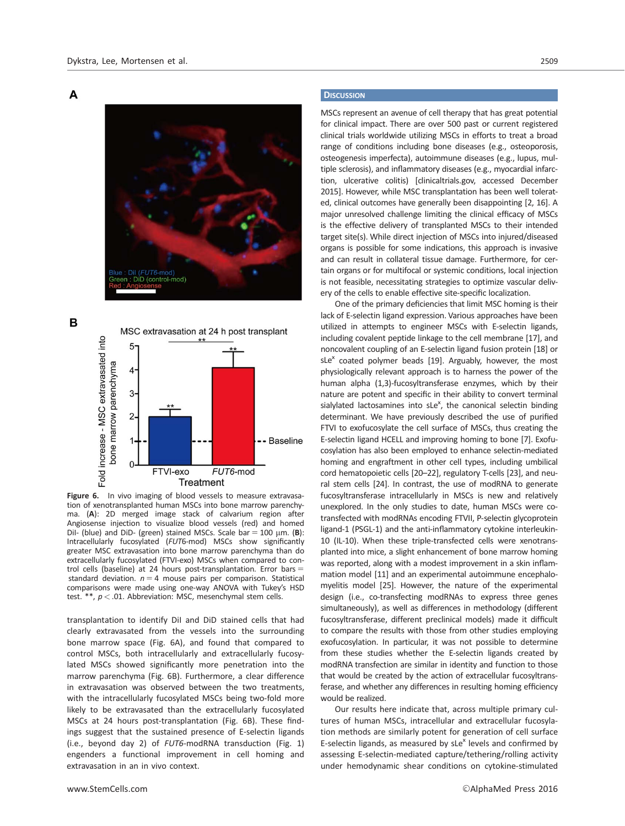

B

A



Figure 6. In vivo imaging of blood vessels to measure extravasation of xenotransplanted human MSCs into bone marrow parenchyma. (A): 2D merged image stack of calvarium region after Angiosense injection to visualize blood vessels (red) and homed Dil- (blue) and DiD- (green) stained MSCs. Scale bar  $= 100$   $\mu$ m. (B): Intracellularly fucosylated (FUT6-mod) MSCs show significantly greater MSC extravasation into bone marrow parenchyma than do extracellularly fucosylated (FTVI-exo) MSCs when compared to control cells (baseline) at 24 hours post-transplantation. Error bars  $=$ standard deviation.  $n = 4$  mouse pairs per comparison. Statistical comparisons were made using one-way ANOVA with Tukey's HSD test. \*\*,  $p < .01$ . Abbreviation: MSC, mesenchymal stem cells.

transplantation to identify DiI and DiD stained cells that had clearly extravasated from the vessels into the surrounding bone marrow space (Fig. 6A), and found that compared to control MSCs, both intracellularly and extracellularly fucosylated MSCs showed significantly more penetration into the marrow parenchyma (Fig. 6B). Furthermore, a clear difference in extravasation was observed between the two treatments, with the intracellularly fucosylated MSCs being two-fold more likely to be extravasated than the extracellularly fucosylated MSCs at 24 hours post-transplantation (Fig. 6B). These findings suggest that the sustained presence of E-selectin ligands (i.e., beyond day 2) of FUT6-modRNA transduction (Fig. 1) engenders a functional improvement in cell homing and extravasation in an in vivo context.

#### **DISCUSSION**

MSCs represent an avenue of cell therapy that has great potential for clinical impact. There are over 500 past or current registered clinical trials worldwide utilizing MSCs in efforts to treat a broad range of conditions including bone diseases (e.g., osteoporosis, osteogenesis imperfecta), autoimmune diseases (e.g., lupus, multiple sclerosis), and inflammatory diseases (e.g., myocardial infarction, ulcerative colitis) [clinicaltrials.gov, accessed December 2015]. However, while MSC transplantation has been well tolerated, clinical outcomes have generally been disappointing [2, 16]. A major unresolved challenge limiting the clinical efficacy of MSCs is the effective delivery of transplanted MSCs to their intended target site(s). While direct injection of MSCs into injured/diseased organs is possible for some indications, this approach is invasive and can result in collateral tissue damage. Furthermore, for certain organs or for multifocal or systemic conditions, local injection is not feasible, necessitating strategies to optimize vascular delivery of the cells to enable effective site-specific localization.

One of the primary deficiencies that limit MSC homing is their lack of E-selectin ligand expression. Various approaches have been utilized in attempts to engineer MSCs with E-selectin ligands, including covalent peptide linkage to the cell membrane [17], and noncovalent coupling of an E-selectin ligand fusion protein [18] or sLe<sup>x</sup> coated polymer beads [19]. Arguably, however, the most physiologically relevant approach is to harness the power of the human alpha (1,3)-fucosyltransferase enzymes, which by their nature are potent and specific in their ability to convert terminal sialylated lactosamines into sLe<sup>x</sup>, the canonical selectin binding determinant. We have previously described the use of purified FTVI to exofucosylate the cell surface of MSCs, thus creating the E-selectin ligand HCELL and improving homing to bone [7]. Exofucosylation has also been employed to enhance selectin-mediated homing and engraftment in other cell types, including umbilical cord hematopoietic cells [20–22], regulatory T-cells [23], and neural stem cells [24]. In contrast, the use of modRNA to generate fucosyltransferase intracellularly in MSCs is new and relatively unexplored. In the only studies to date, human MSCs were cotransfected with modRNAs encoding FTVII, P-selectin glycoprotein ligand-1 (PSGL-1) and the anti-inflammatory cytokine interleukin-10 (IL-10). When these triple-transfected cells were xenotransplanted into mice, a slight enhancement of bone marrow homing was reported, along with a modest improvement in a skin inflammation model [11] and an experimental autoimmune encephalomyelitis model [25]. However, the nature of the experimental design (i.e., co-transfecting modRNAs to express three genes simultaneously), as well as differences in methodology (different fucosyltransferase, different preclinical models) made it difficult to compare the results with those from other studies employing exofucosylation. In particular, it was not possible to determine from these studies whether the E-selectin ligands created by modRNA transfection are similar in identity and function to those that would be created by the action of extracellular fucosyltransferase, and whether any differences in resulting homing efficiency would be realized.

Our results here indicate that, across multiple primary cultures of human MSCs, intracellular and extracellular fucosylation methods are similarly potent for generation of cell surface E-selectin ligands, as measured by  $s$ Le<sup>x</sup> levels and confirmed by assessing E-selectin-mediated capture/tethering/rolling activity under hemodynamic shear conditions on cytokine-stimulated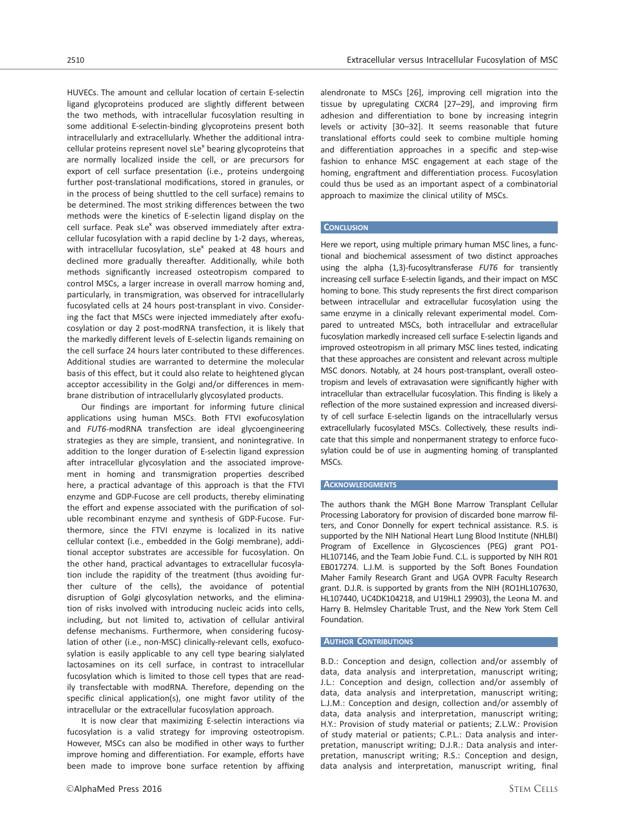HUVECs. The amount and cellular location of certain E-selectin ligand glycoproteins produced are slightly different between the two methods, with intracellular fucosylation resulting in some additional E-selectin-binding glycoproteins present both intracellularly and extracellularly. Whether the additional intracellular proteins represent novel  $s$ Le<sup>x</sup> bearing glycoproteins that are normally localized inside the cell, or are precursors for export of cell surface presentation (i.e., proteins undergoing further post-translational modifications, stored in granules, or in the process of being shuttled to the cell surface) remains to be determined. The most striking differences between the two methods were the kinetics of E-selectin ligand display on the cell surface. Peak  $sLe^x$  was observed immediately after extracellular fucosylation with a rapid decline by 1-2 days, whereas, with intracellular fucosylation,  $sLe^{x}$  peaked at 48 hours and declined more gradually thereafter. Additionally, while both methods significantly increased osteotropism compared to control MSCs, a larger increase in overall marrow homing and, particularly, in transmigration, was observed for intracellularly

fucosylated cells at 24 hours post-transplant in vivo. Considering the fact that MSCs were injected immediately after exofucosylation or day 2 post-modRNA transfection, it is likely that the markedly different levels of E-selectin ligands remaining on the cell surface 24 hours later contributed to these differences. Additional studies are warranted to determine the molecular basis of this effect, but it could also relate to heightened glycan acceptor accessibility in the Golgi and/or differences in membrane distribution of intracellularly glycosylated products.

Our findings are important for informing future clinical applications using human MSCs. Both FTVI exofucosylation and FUT6-modRNA transfection are ideal glycoengineering strategies as they are simple, transient, and nonintegrative. In addition to the longer duration of E-selectin ligand expression after intracellular glycosylation and the associated improvement in homing and transmigration properties described here, a practical advantage of this approach is that the FTVI enzyme and GDP-Fucose are cell products, thereby eliminating the effort and expense associated with the purification of soluble recombinant enzyme and synthesis of GDP-Fucose. Furthermore, since the FTVI enzyme is localized in its native cellular context (i.e., embedded in the Golgi membrane), additional acceptor substrates are accessible for fucosylation. On the other hand, practical advantages to extracellular fucosylation include the rapidity of the treatment (thus avoiding further culture of the cells), the avoidance of potential disruption of Golgi glycosylation networks, and the elimination of risks involved with introducing nucleic acids into cells, including, but not limited to, activation of cellular antiviral defense mechanisms. Furthermore, when considering fucosylation of other (i.e., non-MSC) clinically-relevant cells, exofucosylation is easily applicable to any cell type bearing sialylated lactosamines on its cell surface, in contrast to intracellular fucosylation which is limited to those cell types that are readily transfectable with modRNA. Therefore, depending on the specific clinical application(s), one might favor utility of the intracellular or the extracellular fucosylation approach.

It is now clear that maximizing E-selectin interactions via fucosylation is a valid strategy for improving osteotropism. However, MSCs can also be modified in other ways to further improve homing and differentiation. For example, efforts have been made to improve bone surface retention by affixing

alendronate to MSCs [26], improving cell migration into the tissue by upregulating CXCR4 [27–29], and improving firm adhesion and differentiation to bone by increasing integrin levels or activity [30–32]. It seems reasonable that future translational efforts could seek to combine multiple homing and differentiation approaches in a specific and step-wise fashion to enhance MSC engagement at each stage of the homing, engraftment and differentiation process. Fucosylation could thus be used as an important aspect of a combinatorial approach to maximize the clinical utility of MSCs.

#### **CONCLUSION**

Here we report, using multiple primary human MSC lines, a functional and biochemical assessment of two distinct approaches using the alpha (1,3)-fucosyltransferase FUT6 for transiently increasing cell surface E-selectin ligands, and their impact on MSC homing to bone. This study represents the first direct comparison between intracellular and extracellular fucosylation using the same enzyme in a clinically relevant experimental model. Compared to untreated MSCs, both intracellular and extracellular fucosylation markedly increased cell surface E-selectin ligands and improved osteotropism in all primary MSC lines tested, indicating that these approaches are consistent and relevant across multiple MSC donors. Notably, at 24 hours post-transplant, overall osteotropism and levels of extravasation were significantly higher with intracellular than extracellular fucosylation. This finding is likely a reflection of the more sustained expression and increased diversity of cell surface E-selectin ligands on the intracellularly versus extracellularly fucosylated MSCs. Collectively, these results indicate that this simple and nonpermanent strategy to enforce fucosylation could be of use in augmenting homing of transplanted MSCs.

#### **ACKNOWLEDGMENTS**

The authors thank the MGH Bone Marrow Transplant Cellular Processing Laboratory for provision of discarded bone marrow filters, and Conor Donnelly for expert technical assistance. R.S. is supported by the NIH National Heart Lung Blood Institute (NHLBI) Program of Excellence in Glycosciences (PEG) grant PO1- HL107146, and the Team Jobie Fund. C.L. is supported by NIH R01 EB017274. L.J.M. is supported by the Soft Bones Foundation Maher Family Research Grant and UGA OVPR Faculty Research grant. D.J.R. is supported by grants from the NIH (RO1HL107630, HL107440, UC4DK104218, and U19HL1 29903), the Leona M. and Harry B. Helmsley Charitable Trust, and the New York Stem Cell Foundation.

#### AUTHOR CONTRIBUTIONS

B.D.: Conception and design, collection and/or assembly of data, data analysis and interpretation, manuscript writing; J.L.: Conception and design, collection and/or assembly of data, data analysis and interpretation, manuscript writing; L.J.M.: Conception and design, collection and/or assembly of data, data analysis and interpretation, manuscript writing; H.Y.: Provision of study material or patients; Z.L.W.: Provision of study material or patients; C.P.L.: Data analysis and interpretation, manuscript writing; D.J.R.: Data analysis and interpretation, manuscript writing; R.S.: Conception and design, data analysis and interpretation, manuscript writing, final